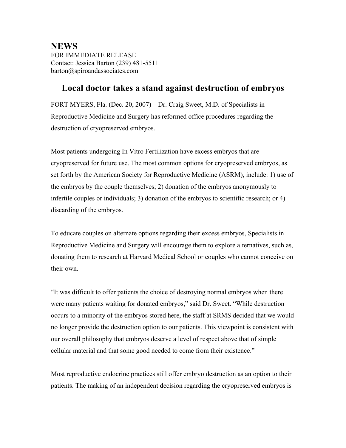**NEWS** FOR IMMEDIATE RELEASE Contact: Jessica Barton (239) 481-5511 barton@spiroandassociates.com

## **Local doctor takes a stand against destruction of embryos**

FORT MYERS, Fla. (Dec. 20, 2007) – Dr. Craig Sweet, M.D. of Specialists in Reproductive Medicine and Surgery has reformed office procedures regarding the destruction of cryopreserved embryos.

Most patients undergoing In Vitro Fertilization have excess embryos that are cryopreserved for future use. The most common options for cryopreserved embryos, as set forth by the American Society for Reproductive Medicine (ASRM), include: 1) use of the embryos by the couple themselves; 2) donation of the embryos anonymously to infertile couples or individuals; 3) donation of the embryos to scientific research; or 4) discarding of the embryos.

To educate couples on alternate options regarding their excess embryos, Specialists in Reproductive Medicine and Surgery will encourage them to explore alternatives, such as, donating them to research at Harvard Medical School or couples who cannot conceive on their own.

"It was difficult to offer patients the choice of destroying normal embryos when there were many patients waiting for donated embryos," said Dr. Sweet. "While destruction occurs to a minority of the embryos stored here, the staff at SRMS decided that we would no longer provide the destruction option to our patients. This viewpoint is consistent with our overall philosophy that embryos deserve a level of respect above that of simple cellular material and that some good needed to come from their existence."

Most reproductive endocrine practices still offer embryo destruction as an option to their patients. The making of an independent decision regarding the cryopreserved embryos is